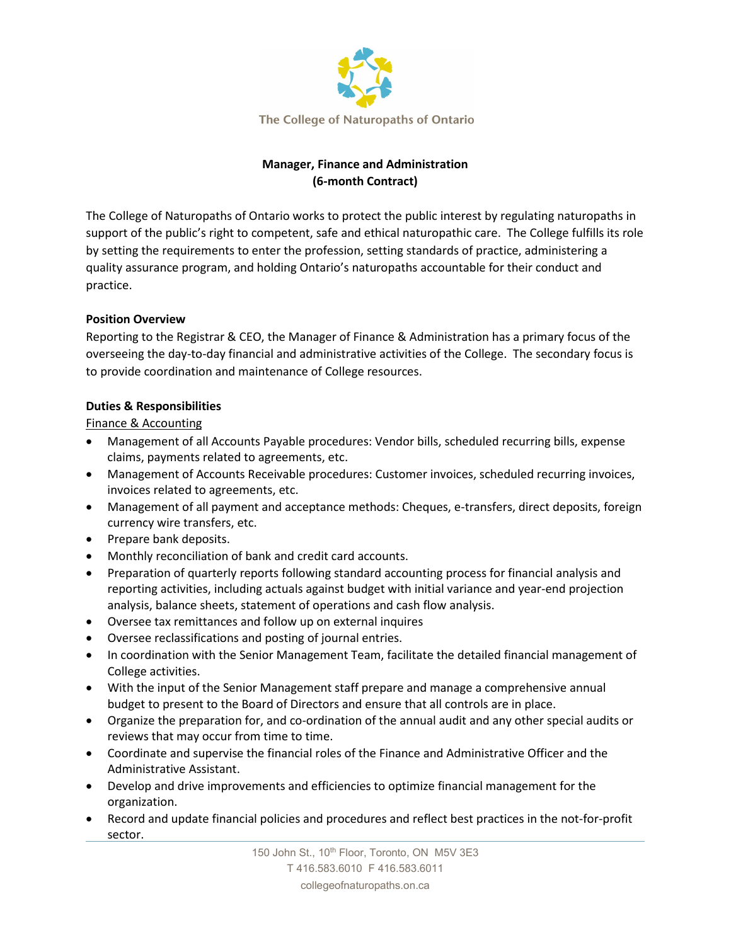

# **Manager, Finance and Administration (6-month Contract)**

The College of Naturopaths of Ontario works to protect the public interest by regulating naturopaths in support of the public's right to competent, safe and ethical naturopathic care. The College fulfills its role by setting the requirements to enter the profession, setting standards of practice, administering a quality assurance program, and holding Ontario's naturopaths accountable for their conduct and practice.

# **Position Overview**

Reporting to the Registrar & CEO, the Manager of Finance & Administration has a primary focus of the overseeing the day-to-day financial and administrative activities of the College. The secondary focus is to provide coordination and maintenance of College resources.

# **Duties & Responsibilities**

Finance & Accounting

- Management of all Accounts Payable procedures: Vendor bills, scheduled recurring bills, expense claims, payments related to agreements, etc.
- Management of Accounts Receivable procedures: Customer invoices, scheduled recurring invoices, invoices related to agreements, etc.
- Management of all payment and acceptance methods: Cheques, e-transfers, direct deposits, foreign currency wire transfers, etc.
- Prepare bank deposits.
- Monthly reconciliation of bank and credit card accounts.
- Preparation of quarterly reports following standard accounting process for financial analysis and reporting activities, including actuals against budget with initial variance and year-end projection analysis, balance sheets, statement of operations and cash flow analysis.
- Oversee tax remittances and follow up on external inquires
- Oversee reclassifications and posting of journal entries.
- In coordination with the Senior Management Team, facilitate the detailed financial management of College activities.
- With the input of the Senior Management staff prepare and manage a comprehensive annual budget to present to the Board of Directors and ensure that all controls are in place.
- Organize the preparation for, and co-ordination of the annual audit and any other special audits or reviews that may occur from time to time.
- Coordinate and supervise the financial roles of the Finance and Administrative Officer and the Administrative Assistant.
- Develop and drive improvements and efficiencies to optimize financial management for the organization.
- Record and update financial policies and procedures and reflect best practices in the not-for-profit sector.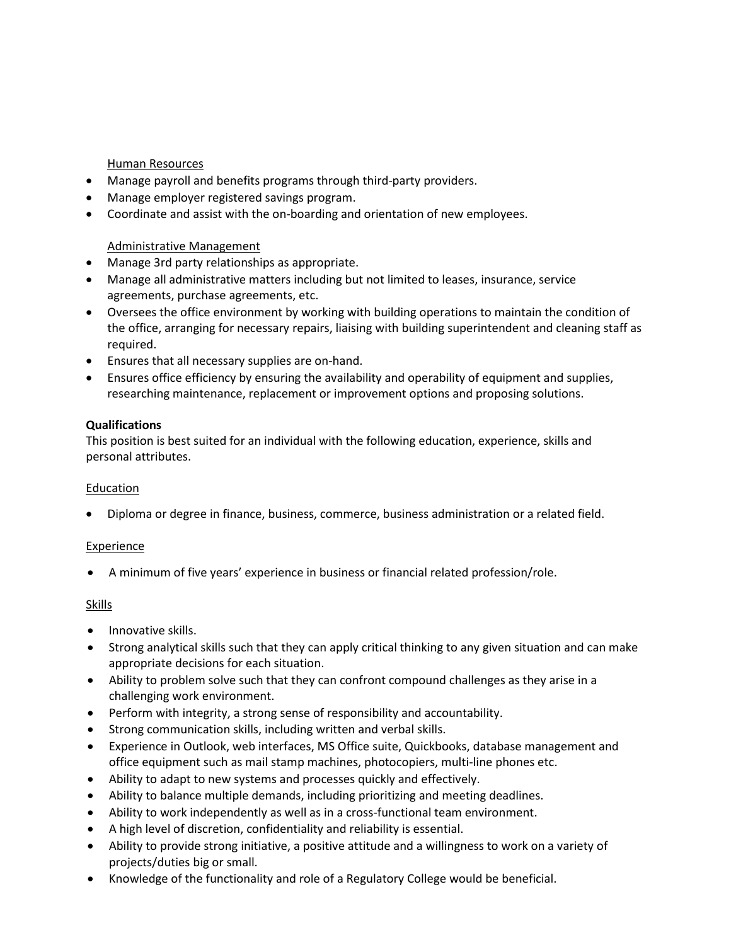# Human Resources

- Manage payroll and benefits programs through third-party providers.
- Manage employer registered savings program.
- Coordinate and assist with the on-boarding and orientation of new employees.

#### Administrative Management

- Manage 3rd party relationships as appropriate.
- Manage all administrative matters including but not limited to leases, insurance, service agreements, purchase agreements, etc.
- Oversees the office environment by working with building operations to maintain the condition of the office, arranging for necessary repairs, liaising with building superintendent and cleaning staff as required.
- Ensures that all necessary supplies are on-hand.
- Ensures office efficiency by ensuring the availability and operability of equipment and supplies, researching maintenance, replacement or improvement options and proposing solutions.

#### **Qualifications**

This position is best suited for an individual with the following education, experience, skills and personal attributes.

#### Education

• Diploma or degree in finance, business, commerce, business administration or a related field.

#### Experience

• A minimum of five years' experience in business or financial related profession/role.

#### **Skills**

- Innovative skills.
- Strong analytical skills such that they can apply critical thinking to any given situation and can make appropriate decisions for each situation.
- Ability to problem solve such that they can confront compound challenges as they arise in a challenging work environment.
- Perform with integrity, a strong sense of responsibility and accountability.
- Strong communication skills, including written and verbal skills.
- Experience in Outlook, web interfaces, MS Office suite, Quickbooks, database management and office equipment such as mail stamp machines, photocopiers, multi-line phones etc.
- Ability to adapt to new systems and processes quickly and effectively.
- Ability to balance multiple demands, including prioritizing and meeting deadlines.
- Ability to work independently as well as in a cross-functional team environment.
- A high level of discretion, confidentiality and reliability is essential.
- Ability to provide strong initiative, a positive attitude and a willingness to work on a variety of projects/duties big or small.
- Knowledge of the functionality and role of a Regulatory College would be beneficial.